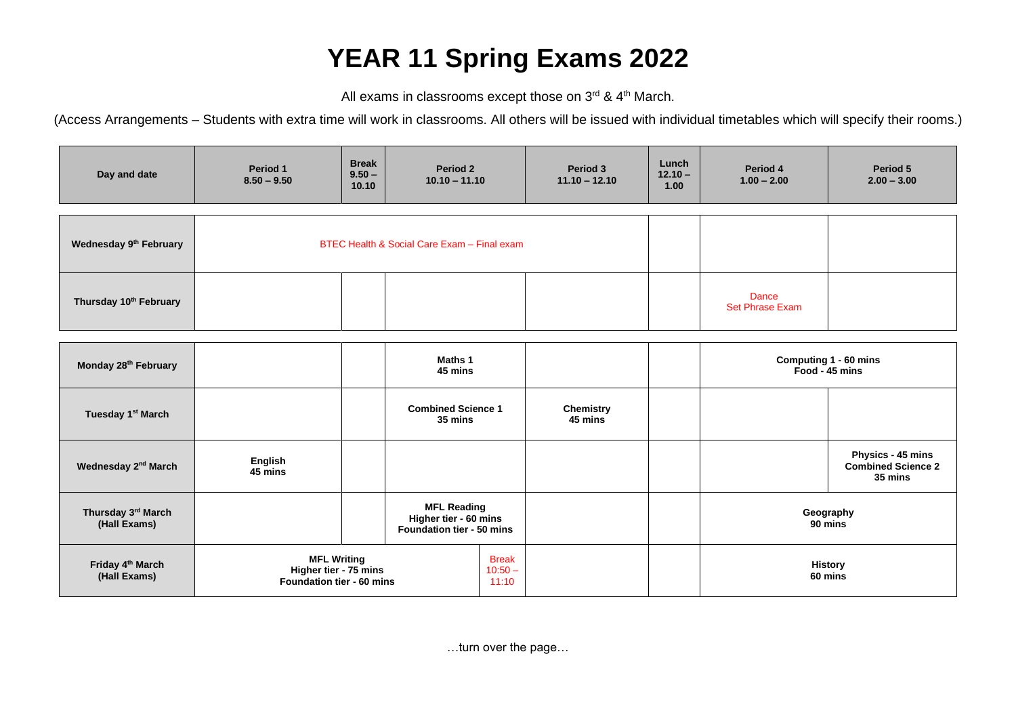## **YEAR 11 Spring Exams 2022**

All exams in classrooms except those on  $3^{\text{rd}}$  & 4<sup>th</sup> March.

(Access Arrangements – Students with extra time will work in classrooms. All others will be issued with individual timetables which will specify their rooms.)

| Day and date                                 | Period 1<br>$8.50 - 9.50$                                                | <b>Break</b><br>$9.50 -$<br>10.10 | Period 2<br>$10.10 - 11.10$                                              | Period 3<br>$11.10 - 12.10$        | Lunch<br>$12.10 -$<br>1.00              | Period 4<br>$1.00 - 2.00$       | Period 5<br>$2.00 - 3.00$                                 |
|----------------------------------------------|--------------------------------------------------------------------------|-----------------------------------|--------------------------------------------------------------------------|------------------------------------|-----------------------------------------|---------------------------------|-----------------------------------------------------------|
| Wednesday 9 <sup>th</sup> February           | BTEC Health & Social Care Exam - Final exam                              |                                   |                                                                          |                                    |                                         |                                 |                                                           |
| Thursday 10th February                       |                                                                          |                                   |                                                                          |                                    |                                         | Dance<br><b>Set Phrase Exam</b> |                                                           |
| Monday 28 <sup>th</sup> February             |                                                                          | Maths 1<br>45 mins                |                                                                          |                                    | Computing 1 - 60 mins<br>Food - 45 mins |                                 |                                                           |
| Tuesday 1 <sup>st</sup> March                |                                                                          |                                   | <b>Combined Science 1</b><br>35 mins                                     | <b>Chemistry</b><br>45 mins        |                                         |                                 |                                                           |
| Wednesday 2 <sup>nd</sup> March              | English<br>45 mins                                                       |                                   |                                                                          |                                    |                                         |                                 | Physics - 45 mins<br><b>Combined Science 2</b><br>35 mins |
| Thursday 3rd March<br>(Hall Exams)           |                                                                          |                                   | <b>MFL Reading</b><br>Higher tier - 60 mins<br>Foundation tier - 50 mins |                                    |                                         | Geography<br>90 mins            |                                                           |
| Friday 4 <sup>th</sup> March<br>(Hall Exams) | <b>MFL Writing</b><br>Higher tier - 75 mins<br>Foundation tier - 60 mins |                                   |                                                                          | <b>Break</b><br>$10:50 -$<br>11:10 |                                         |                                 | <b>History</b><br>60 mins                                 |